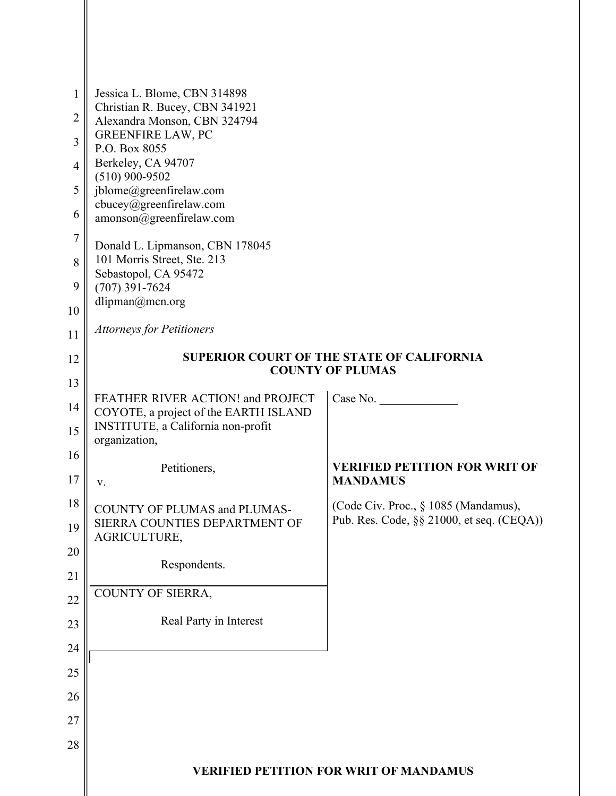| $\mathbf{1}$<br>$\overline{2}$ | Jessica L. Blome, CBN 314898<br>Christian R. Bucey, CBN 341921<br>Alexandra Monson, CBN 324794 |                                           |
|--------------------------------|------------------------------------------------------------------------------------------------|-------------------------------------------|
| $\overline{3}$                 | <b>GREENFIRE LAW, PC</b><br>P.O. Box 8055                                                      |                                           |
| $\overline{4}$                 | Berkeley, CA 94707                                                                             |                                           |
| 5                              | $(510)$ 900-9502<br>jblome@greenfirelaw.com                                                    |                                           |
| 6                              | cbucey@greenfirelaw.com<br>amonson@greenfirelaw.com                                            |                                           |
| $\tau$                         | Donald L. Lipmanson, CBN 178045                                                                |                                           |
| 8                              | 101 Morris Street, Ste. 213                                                                    |                                           |
| 9                              | Sebastopol, CA 95472<br>$(707)$ 391-7624                                                       |                                           |
| 10                             | dlipman@mcn.org                                                                                |                                           |
| 11                             | <b>Attorneys for Petitioners</b>                                                               |                                           |
| 12                             | <b>SUPERIOR COURT OF THE STATE OF CALIFORNIA</b><br><b>COUNTY OF PLUMAS</b>                    |                                           |
| 13                             |                                                                                                |                                           |
| 14                             | FEATHER RIVER ACTION! and PROJECT<br>COYOTE, a project of the EARTH ISLAND                     | Case No.                                  |
| 15                             | INSTITUTE, a California non-profit<br>organization,                                            |                                           |
| 16                             | Petitioners,                                                                                   | <b>VERIFIED PETITION FOR WRIT OF</b>      |
| 17                             | V.                                                                                             | <b>MANDAMUS</b>                           |
| 18                             | <b>COUNTY OF PLUMAS and PLUMAS-</b>                                                            | (Code Civ. Proc., § 1085 (Mandamus),      |
| 19                             | SIERRA COUNTIES DEPARTMENT OF<br>AGRICULTURE,                                                  | Pub. Res. Code, §§ 21000, et seq. (CEQA)) |
| 20                             | Respondents.                                                                                   |                                           |
| 21                             | COUNTY OF SIERRA,                                                                              |                                           |
| 22                             | Real Party in Interest                                                                         |                                           |
| 23                             |                                                                                                |                                           |
| 24                             |                                                                                                |                                           |
| 25                             |                                                                                                |                                           |
| 26                             |                                                                                                |                                           |
| 27                             |                                                                                                |                                           |
| 28                             |                                                                                                |                                           |
|                                | <b>VERIFIED PETITION FOR WRIT OF MANDAMUS</b>                                                  |                                           |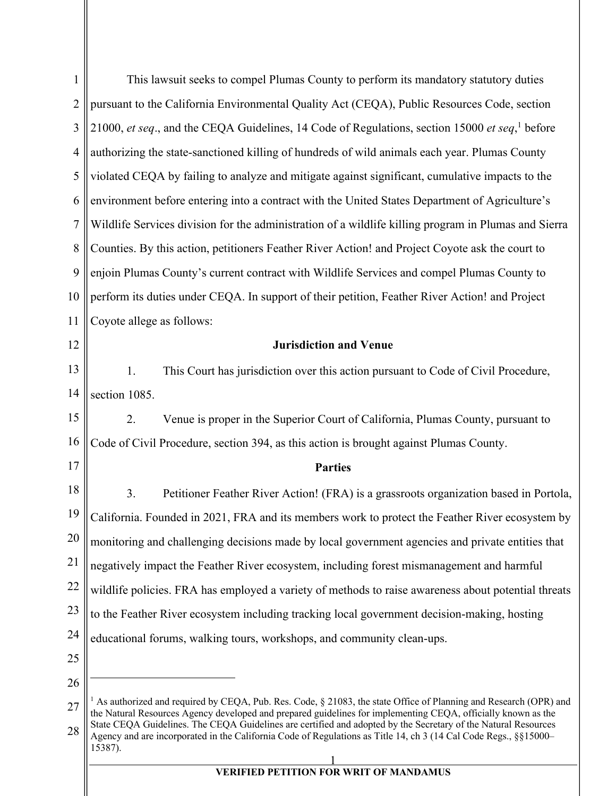| $\mathbf{1}$   | This lawsuit seeks to compel Plumas County to perform its mandatory statutory duties                                                                                                                                                                                                                                                                                                                                                                                                               |  |
|----------------|----------------------------------------------------------------------------------------------------------------------------------------------------------------------------------------------------------------------------------------------------------------------------------------------------------------------------------------------------------------------------------------------------------------------------------------------------------------------------------------------------|--|
| $\overline{2}$ | pursuant to the California Environmental Quality Act (CEQA), Public Resources Code, section                                                                                                                                                                                                                                                                                                                                                                                                        |  |
| 3              | 21000, et seq., and the CEQA Guidelines, 14 Code of Regulations, section 15000 et seq, <sup>1</sup> before                                                                                                                                                                                                                                                                                                                                                                                         |  |
| $\overline{4}$ | authorizing the state-sanctioned killing of hundreds of wild animals each year. Plumas County                                                                                                                                                                                                                                                                                                                                                                                                      |  |
| 5              | violated CEQA by failing to analyze and mitigate against significant, cumulative impacts to the                                                                                                                                                                                                                                                                                                                                                                                                    |  |
| 6              | environment before entering into a contract with the United States Department of Agriculture's                                                                                                                                                                                                                                                                                                                                                                                                     |  |
| 7              | Wildlife Services division for the administration of a wildlife killing program in Plumas and Sierra                                                                                                                                                                                                                                                                                                                                                                                               |  |
| 8              | Counties. By this action, petitioners Feather River Action! and Project Coyote ask the court to                                                                                                                                                                                                                                                                                                                                                                                                    |  |
| 9              | enjoin Plumas County's current contract with Wildlife Services and compel Plumas County to                                                                                                                                                                                                                                                                                                                                                                                                         |  |
| 10             | perform its duties under CEQA. In support of their petition, Feather River Action! and Project                                                                                                                                                                                                                                                                                                                                                                                                     |  |
| 11             | Coyote allege as follows:                                                                                                                                                                                                                                                                                                                                                                                                                                                                          |  |
| 12             | <b>Jurisdiction and Venue</b>                                                                                                                                                                                                                                                                                                                                                                                                                                                                      |  |
| 13             | This Court has jurisdiction over this action pursuant to Code of Civil Procedure,<br>1.                                                                                                                                                                                                                                                                                                                                                                                                            |  |
| 14             | section 1085.                                                                                                                                                                                                                                                                                                                                                                                                                                                                                      |  |
| 15             | 2.<br>Venue is proper in the Superior Court of California, Plumas County, pursuant to                                                                                                                                                                                                                                                                                                                                                                                                              |  |
| 16             | Code of Civil Procedure, section 394, as this action is brought against Plumas County.                                                                                                                                                                                                                                                                                                                                                                                                             |  |
| 17             | <b>Parties</b>                                                                                                                                                                                                                                                                                                                                                                                                                                                                                     |  |
| 18             | 3.<br>Petitioner Feather River Action! (FRA) is a grassroots organization based in Portola,                                                                                                                                                                                                                                                                                                                                                                                                        |  |
| 19             | California. Founded in 2021, FRA and its members work to protect the Feather River ecosystem by                                                                                                                                                                                                                                                                                                                                                                                                    |  |
| 20             | monitoring and challenging decisions made by local government agencies and private entities that                                                                                                                                                                                                                                                                                                                                                                                                   |  |
| 21             | negatively impact the Feather River ecosystem, including forest mismanagement and harmful                                                                                                                                                                                                                                                                                                                                                                                                          |  |
| 22             | wildlife policies. FRA has employed a variety of methods to raise awareness about potential threats                                                                                                                                                                                                                                                                                                                                                                                                |  |
| 23             | to the Feather River ecosystem including tracking local government decision-making, hosting                                                                                                                                                                                                                                                                                                                                                                                                        |  |
| 24             | educational forums, walking tours, workshops, and community clean-ups.                                                                                                                                                                                                                                                                                                                                                                                                                             |  |
| 25             |                                                                                                                                                                                                                                                                                                                                                                                                                                                                                                    |  |
| 26             |                                                                                                                                                                                                                                                                                                                                                                                                                                                                                                    |  |
| 27             | <sup>1</sup> As authorized and required by CEQA, Pub. Res. Code, $\S$ 21083, the state Office of Planning and Research (OPR) and<br>the Natural Resources Agency developed and prepared guidelines for implementing CEQA, officially known as the<br>State CEQA Guidelines. The CEQA Guidelines are certified and adopted by the Secretary of the Natural Resources<br>Agency and are incorporated in the California Code of Regulations as Title 14, ch 3 (14 Cal Code Regs., §§15000–<br>15387). |  |
| 28             |                                                                                                                                                                                                                                                                                                                                                                                                                                                                                                    |  |
|                | $\frac{1}{1}$<br>$\mathbf{F}$                                                                                                                                                                                                                                                                                                                                                                                                                                                                      |  |

**VERIFIED PETITION FOR WRIT OF MANDAMUS**

 $\parallel$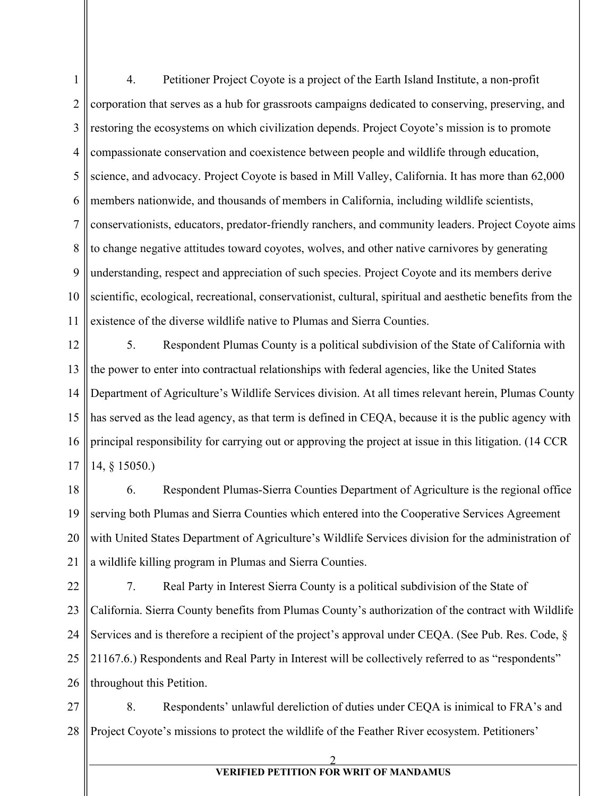1 2 3 4 5 6 7 8 9 10 11 4. Petitioner Project Coyote is a project of the Earth Island Institute, a non-profit corporation that serves as a hub for grassroots campaigns dedicated to conserving, preserving, and restoring the ecosystems on which civilization depends. Project Coyote's mission is to promote compassionate conservation and coexistence between people and wildlife through education, science, and advocacy. Project Coyote is based in Mill Valley, California. It has more than 62,000 members nationwide, and thousands of members in California, including wildlife scientists, conservationists, educators, predator-friendly ranchers, and community leaders. Project Coyote aims to change negative attitudes toward coyotes, wolves, and other native carnivores by generating understanding, respect and appreciation of such species. Project Coyote and its members derive scientific, ecological, recreational, conservationist, cultural, spiritual and aesthetic benefits from the existence of the diverse wildlife native to Plumas and Sierra Counties.

12 13 14 15 16 17 5. Respondent Plumas County is a political subdivision of the State of California with the power to enter into contractual relationships with federal agencies, like the United States Department of Agriculture's Wildlife Services division. At all times relevant herein, Plumas County has served as the lead agency, as that term is defined in CEQA, because it is the public agency with principal responsibility for carrying out or approving the project at issue in this litigation. (14 CCR 14, § 15050.)

18 19 20 21 6. Respondent Plumas-Sierra Counties Department of Agriculture is the regional office serving both Plumas and Sierra Counties which entered into the Cooperative Services Agreement with United States Department of Agriculture's Wildlife Services division for the administration of a wildlife killing program in Plumas and Sierra Counties.

22 23 24 25 26 7. Real Party in Interest Sierra County is a political subdivision of the State of California. Sierra County benefits from Plumas County's authorization of the contract with Wildlife Services and is therefore a recipient of the project's approval under CEQA. (See Pub. Res. Code, § 21167.6.) Respondents and Real Party in Interest will be collectively referred to as "respondents" throughout this Petition.

27 28 8. Respondents' unlawful dereliction of duties under CEQA is inimical to FRA's and Project Coyote's missions to protect the wildlife of the Feather River ecosystem. Petitioners'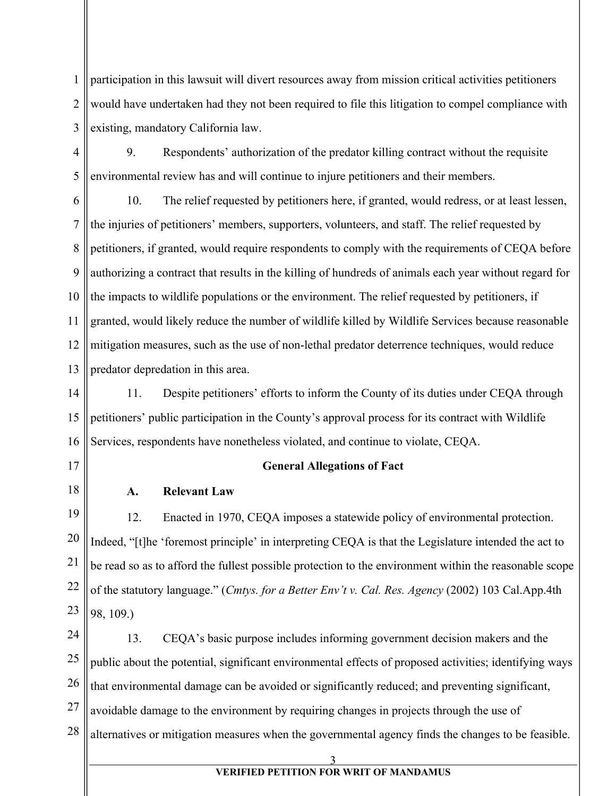1 2 3 participation in this lawsuit will divert resources away from mission critical activities petitioners would have undertaken had they not been required to file this litigation to compel compliance with existing, mandatory California law.

4 5 9. Respondents' authorization of the predator killing contract without the requisite environmental review has and will continue to injure petitioners and their members.

6 7 8 9 10 11 12 13 10. The relief requested by petitioners here, if granted, would redress, or at least lessen, the injuries of petitioners' members, supporters, volunteers, and staff. The relief requested by petitioners, if granted, would require respondents to comply with the requirements of CEQA before authorizing a contract that results in the killing of hundreds of animals each year without regard for the impacts to wildlife populations or the environment. The relief requested by petitioners, if granted, would likely reduce the number of wildlife killed by Wildlife Services because reasonable mitigation measures, such as the use of non-lethal predator deterrence techniques, would reduce predator depredation in this area.

14 15 16 11. Despite petitioners' efforts to inform the County of its duties under CEQA through petitioners' public participation in the County's approval process for its contract with Wildlife Services, respondents have nonetheless violated, and continue to violate, CEQA.

- 17
- 18

## **General Allegations of Fact**

### **A. Relevant Law**

19 20 21 22 23 12. Enacted in 1970, CEQA imposes a statewide policy of environmental protection. Indeed, "[t]he 'foremost principle' in interpreting CEQA is that the Legislature intended the act to be read so as to afford the fullest possible protection to the environment within the reasonable scope of the statutory language." (*Cmtys. for a Better Env't v. Cal. Res. Agency* (2002) 103 Cal.App.4th 98, 109.)

24 25 26 27 28 13. CEQA's basic purpose includes informing government decision makers and the public about the potential, significant environmental effects of proposed activities; identifying ways that environmental damage can be avoided or significantly reduced; and preventing significant, avoidable damage to the environment by requiring changes in projects through the use of alternatives or mitigation measures when the governmental agency finds the changes to be feasible.

3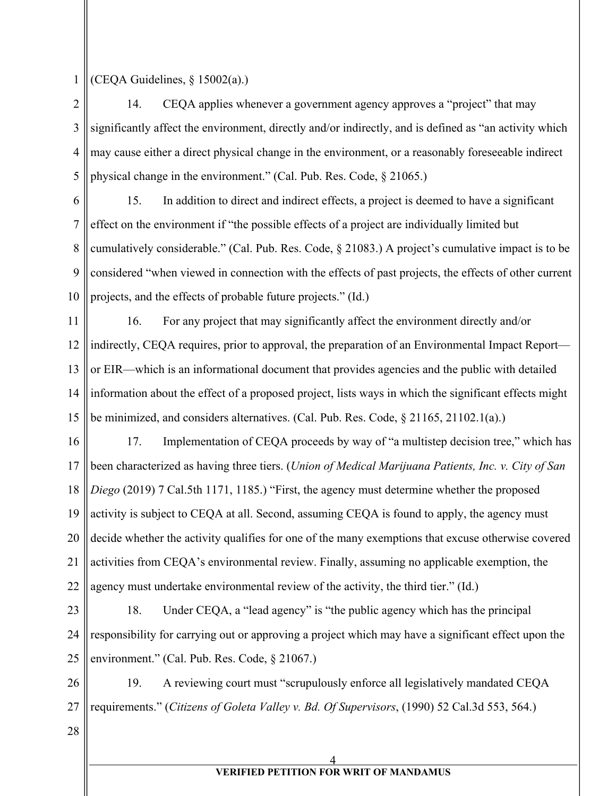1 (CEQA Guidelines, § 15002(a).)

2 3 4 5 14. CEQA applies whenever a government agency approves a "project" that may significantly affect the environment, directly and/or indirectly, and is defined as "an activity which may cause either a direct physical change in the environment, or a reasonably foreseeable indirect physical change in the environment." (Cal. Pub. Res. Code, § 21065.)

6 7 8 9 10 15. In addition to direct and indirect effects, a project is deemed to have a significant effect on the environment if "the possible effects of a project are individually limited but cumulatively considerable." (Cal. Pub. Res. Code, § 21083.) A project's cumulative impact is to be considered "when viewed in connection with the effects of past projects, the effects of other current projects, and the effects of probable future projects." (Id.)

11 12 13 14 15 16. For any project that may significantly affect the environment directly and/or indirectly, CEQA requires, prior to approval, the preparation of an Environmental Impact Report or EIR—which is an informational document that provides agencies and the public with detailed information about the effect of a proposed project, lists ways in which the significant effects might be minimized, and considers alternatives. (Cal. Pub. Res. Code, § 21165, 21102.1(a).)

16 17 18 19 20 21 22 17. Implementation of CEQA proceeds by way of "a multistep decision tree," which has been characterized as having three tiers. (*Union of Medical Marijuana Patients, Inc. v. City of San Diego* (2019) 7 Cal.5th 1171, 1185.) "First, the agency must determine whether the proposed activity is subject to CEQA at all. Second, assuming CEQA is found to apply, the agency must decide whether the activity qualifies for one of the many exemptions that excuse otherwise covered activities from CEQA's environmental review. Finally, assuming no applicable exemption, the agency must undertake environmental review of the activity, the third tier." (Id.)

23 24 25 18. Under CEQA, a "lead agency" is "the public agency which has the principal responsibility for carrying out or approving a project which may have a significant effect upon the environment." (Cal. Pub. Res. Code, § 21067.)

26 27 19. A reviewing court must "scrupulously enforce all legislatively mandated CEQA requirements." (*Citizens of Goleta Valley v. Bd. Of Supervisors*, (1990) 52 Cal.3d 553, 564.)

28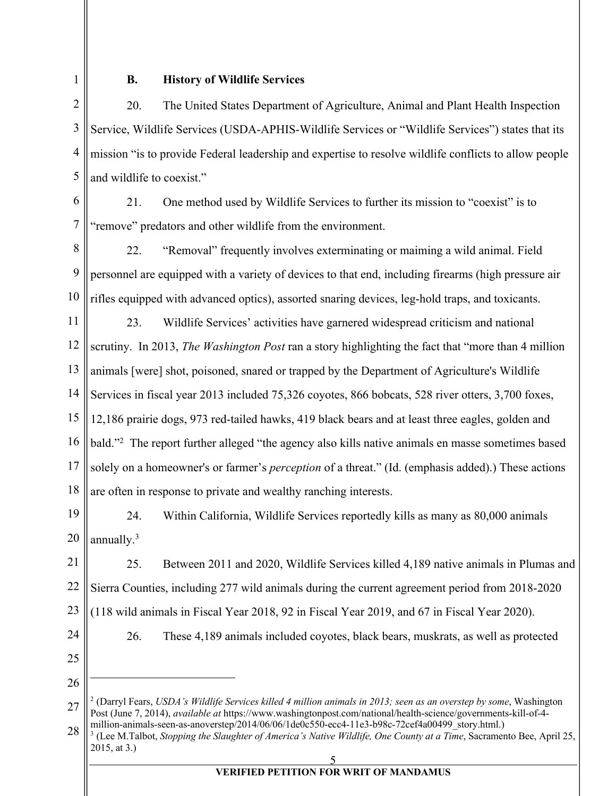1

### **B. History of Wildlife Services**

2 3 4 5 20. The United States Department of Agriculture, Animal and Plant Health Inspection Service, Wildlife Services (USDA-APHIS-Wildlife Services or "Wildlife Services") states that its mission "is to provide Federal leadership and expertise to resolve wildlife conflicts to allow people and wildlife to coexist."

6

7

21. One method used by Wildlife Services to further its mission to "coexist" is to "remove" predators and other wildlife from the environment.

8 9 10 22. "Removal" frequently involves exterminating or maiming a wild animal. Field personnel are equipped with a variety of devices to that end, including firearms (high pressure air rifles equipped with advanced optics), assorted snaring devices, leg-hold traps, and toxicants.

11 12 13 14 15 16 17 18 23. Wildlife Services' activities have garnered widespread criticism and national scrutiny. In 2013, *The Washington Post* ran a story highlighting the fact that "more than 4 million animals [were] shot, poisoned, snared or trapped by the Department of Agriculture's Wildlife Services in fiscal year 2013 included 75,326 coyotes, 866 bobcats, 528 river otters, 3,700 foxes, 12,186 prairie dogs, 973 red-tailed hawks, 419 black bears and at least three eagles, golden and bald."<sup>2</sup> The report further alleged "the agency also kills native animals en masse sometimes based solely on a homeowner's or farmer's *perception* of a threat." (Id. (emphasis added).) These actions are often in response to private and wealthy ranching interests.

19 20 24. Within California, Wildlife Services reportedly kills as many as 80,000 animals annually.<sup>3</sup>

21 22 23 25. Between 2011 and 2020, Wildlife Services killed 4,189 native animals in Plumas and Sierra Counties, including 277 wild animals during the current agreement period from 2018-2020 (118 wild animals in Fiscal Year 2018, 92 in Fiscal Year 2019, and 67 in Fiscal Year 2020).

26. These 4,189 animals included coyotes, black bears, muskrats, as well as protected

- 24 25
- 26

<sup>27</sup> <sup>2</sup> (Darryl Fears, *USDA's Wildlife Services killed 4 million animals in 2013; seen as an overstep by some*, Washington Post (June 7, 2014), *available at* https://www.washingtonpost.com/national/health-science/governments-kill-of-4 million-animals-seen-as-anoverstep/2014/06/06/1de0c550-ecc4-11e3-b98c-72cef4a00499\_story.html.)

<sup>28</sup> <sup>3</sup> (Lee M.Talbot, *Stopping the Slaughter of America's Native Wildlife, One County at a Time*, Sacramento Bee, April 25, 2015, at 3.)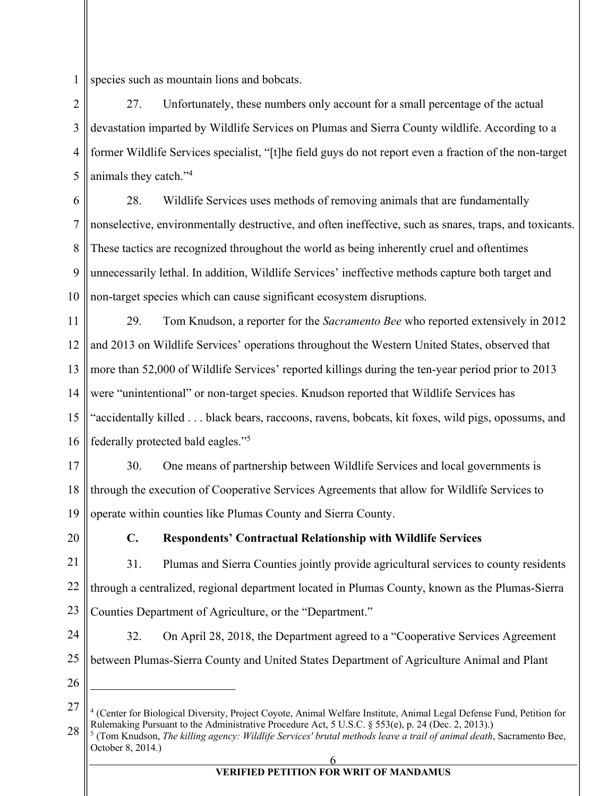1 species such as mountain lions and bobcats.

2 3 4 5 27. Unfortunately, these numbers only account for a small percentage of the actual devastation imparted by Wildlife Services on Plumas and Sierra County wildlife. According to a former Wildlife Services specialist, "[t]he field guys do not report even a fraction of the non-target animals they catch."4

6 7 8 9 10 28. Wildlife Services uses methods of removing animals that are fundamentally nonselective, environmentally destructive, and often ineffective, such as snares, traps, and toxicants. These tactics are recognized throughout the world as being inherently cruel and oftentimes unnecessarily lethal. In addition, Wildlife Services' ineffective methods capture both target and non-target species which can cause significant ecosystem disruptions.

11 12 13 14 15 16 29. Tom Knudson, a reporter for the *Sacramento Bee* who reported extensively in 2012 and 2013 on Wildlife Services' operations throughout the Western United States, observed that more than 52,000 of Wildlife Services' reported killings during the ten-year period prior to 2013 were "unintentional" or non-target species. Knudson reported that Wildlife Services has "accidentally killed . . . black bears, raccoons, ravens, bobcats, kit foxes, wild pigs, opossums, and federally protected bald eagles."5

- 17 18 19 30. One means of partnership between Wildlife Services and local governments is through the execution of Cooperative Services Agreements that allow for Wildlife Services to operate within counties like Plumas County and Sierra County.
- 20

## **C. Respondents' Contractual Relationship with Wildlife Services**

21 22 23 31. Plumas and Sierra Counties jointly provide agricultural services to county residents through a centralized, regional department located in Plumas County, known as the Plumas-Sierra Counties Department of Agriculture, or the "Department."

24

25

32. On April 28, 2018, the Department agreed to a "Cooperative Services Agreement between Plumas-Sierra County and United States Department of Agriculture Animal and Plant

<sup>27</sup> 28 <sup>4</sup> (Center for Biological Diversity, Project Coyote, Animal Welfare Institute, Animal Legal Defense Fund, Petition for Rulemaking Pursuant to the Administrative Procedure Act, 5 U.S.C. § 553(e), p. 24 (Dec. 2, 2013).)

<sup>5</sup> (Tom Knudson, *The killing agency: Wildlife Services' brutal methods leave a trail of animal death*, Sacramento Bee, October 8, 2014.)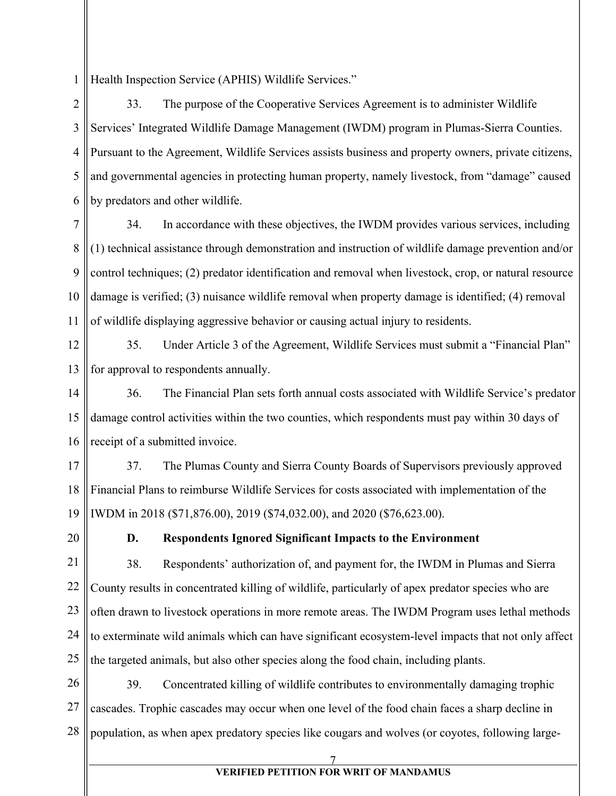1 Health Inspection Service (APHIS) Wildlife Services."

2 3 4 5 6 33. The purpose of the Cooperative Services Agreement is to administer Wildlife Services' Integrated Wildlife Damage Management (IWDM) program in Plumas-Sierra Counties. Pursuant to the Agreement, Wildlife Services assists business and property owners, private citizens, and governmental agencies in protecting human property, namely livestock, from "damage" caused by predators and other wildlife.

7 8 9 10 11 34. In accordance with these objectives, the IWDM provides various services, including (1) technical assistance through demonstration and instruction of wildlife damage prevention and/or control techniques; (2) predator identification and removal when livestock, crop, or natural resource damage is verified; (3) nuisance wildlife removal when property damage is identified; (4) removal of wildlife displaying aggressive behavior or causing actual injury to residents.

12 13 35. Under Article 3 of the Agreement, Wildlife Services must submit a "Financial Plan" for approval to respondents annually.

14 15 16 36. The Financial Plan sets forth annual costs associated with Wildlife Service's predator damage control activities within the two counties, which respondents must pay within 30 days of receipt of a submitted invoice.

17 18 19 37. The Plumas County and Sierra County Boards of Supervisors previously approved Financial Plans to reimburse Wildlife Services for costs associated with implementation of the IWDM in 2018 (\$71,876.00), 2019 (\$74,032.00), and 2020 (\$76,623.00).

20

### **D. Respondents Ignored Significant Impacts to the Environment**

21 22 23 24 25 38. Respondents' authorization of, and payment for, the IWDM in Plumas and Sierra County results in concentrated killing of wildlife, particularly of apex predator species who are often drawn to livestock operations in more remote areas. The IWDM Program uses lethal methods to exterminate wild animals which can have significant ecosystem-level impacts that not only affect the targeted animals, but also other species along the food chain, including plants.

26 27 28 39. Concentrated killing of wildlife contributes to environmentally damaging trophic cascades. Trophic cascades may occur when one level of the food chain faces a sharp decline in population, as when apex predatory species like cougars and wolves (or coyotes, following large-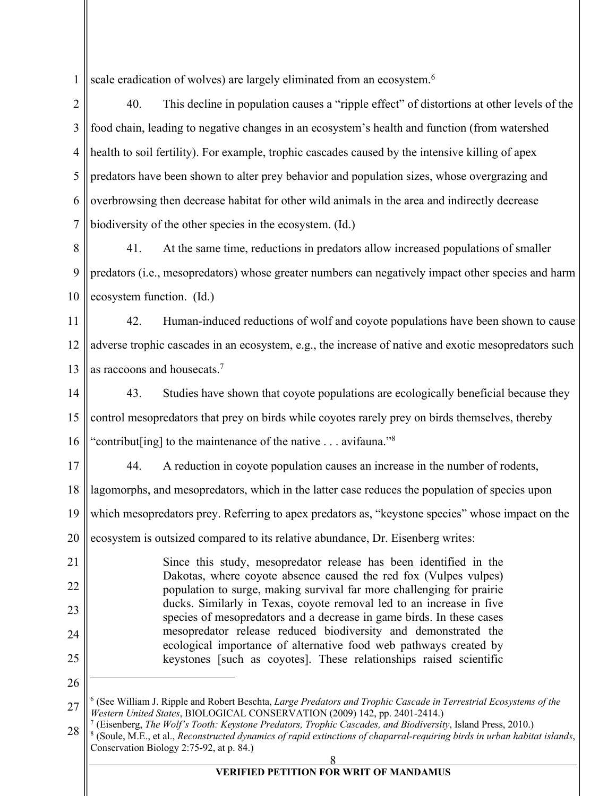1 scale eradication of wolves) are largely eliminated from an ecosystem.<sup>6</sup>

2 3 4 5 6 7 40. This decline in population causes a "ripple effect" of distortions at other levels of the food chain, leading to negative changes in an ecosystem's health and function (from watershed health to soil fertility). For example, trophic cascades caused by the intensive killing of apex predators have been shown to alter prey behavior and population sizes, whose overgrazing and overbrowsing then decrease habitat for other wild animals in the area and indirectly decrease biodiversity of the other species in the ecosystem. (Id.)

8 9 10 41. At the same time, reductions in predators allow increased populations of smaller predators (i.e., mesopredators) whose greater numbers can negatively impact other species and harm ecosystem function. (Id.)

11 12 13 42. Human-induced reductions of wolf and coyote populations have been shown to cause adverse trophic cascades in an ecosystem, e.g., the increase of native and exotic mesopredators such as raccoons and housecats.<sup>7</sup>

14 15 16 43. Studies have shown that coyote populations are ecologically beneficial because they control mesopredators that prey on birds while coyotes rarely prey on birds themselves, thereby "contribut [ing] to the maintenance of the native  $\dots$  avifauna."<sup>8</sup>

44. A reduction in coyote population causes an increase in the number of rodents,

18 lagomorphs, and mesopredators, which in the latter case reduces the population of species upon

19 which mesopredators prey. Referring to apex predators as, "keystone species" whose impact on the

20 ecosystem is outsized compared to its relative abundance, Dr. Eisenberg writes:

21 22 23 24 25 Since this study, mesopredator release has been identified in the Dakotas, where coyote absence caused the red fox (Vulpes vulpes) population to surge, making survival far more challenging for prairie ducks. Similarly in Texas, coyote removal led to an increase in five species of mesopredators and a decrease in game birds. In these cases mesopredator release reduced biodiversity and demonstrated the ecological importance of alternative food web pathways created by keystones [such as coyotes]. These relationships raised scientific

26

17

<sup>27</sup> <sup>6</sup> (See William J. Ripple and Robert Beschta, *Large Predators and Trophic Cascade in Terrestrial Ecosystems of the Western United States*, BIOLOGICAL CONSERVATION (2009) 142, pp. 2401-2414.)

<sup>28</sup> <sup>7</sup> (Eisenberg, *The Wolf's Tooth: Keystone Predators, Trophic Cascades, and Biodiversity*, Island Press, 2010.) <sup>8</sup> (Soule, M.E., et al., *Reconstructed dynamics of rapid extinctions of chaparral-requiring birds in urban habitat islands*, Conservation Biology 2:75-92, at p. 84.)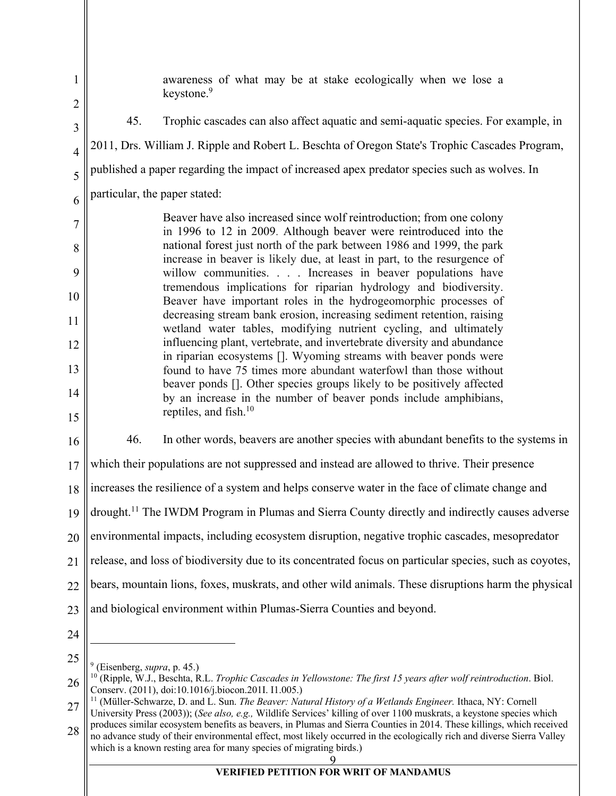1 2 3 4 5 6 7 8 9 10 11 12 13 14 15 16 17 18 19 20 21 22 23 24 25 26 awareness of what may be at stake ecologically when we lose a keystone.<sup>9</sup> 45. Trophic cascades can also affect aquatic and semi-aquatic species. For example, in 2011, Drs. William J. Ripple and Robert L. Beschta of Oregon State's Trophic Cascades Program, published a paper regarding the impact of increased apex predator species such as wolves. In particular, the paper stated: Beaver have also increased since wolf reintroduction; from one colony in 1996 to 12 in 2009. Although beaver were reintroduced into the national forest just north of the park between 1986 and 1999, the park increase in beaver is likely due, at least in part, to the resurgence of willow communities. . . . Increases in beaver populations have tremendous implications for riparian hydrology and biodiversity. Beaver have important roles in the hydrogeomorphic processes of decreasing stream bank erosion, increasing sediment retention, raising wetland water tables, modifying nutrient cycling, and ultimately influencing plant, vertebrate, and invertebrate diversity and abundance in riparian ecosystems []. Wyoming streams with beaver ponds were found to have 75 times more abundant waterfowl than those without beaver ponds []. Other species groups likely to be positively affected by an increase in the number of beaver ponds include amphibians, reptiles, and fish.10 46. In other words, beavers are another species with abundant benefits to the systems in which their populations are not suppressed and instead are allowed to thrive. Their presence increases the resilience of a system and helps conserve water in the face of climate change and drought.<sup>11</sup> The IWDM Program in Plumas and Sierra County directly and indirectly causes adverse environmental impacts, including ecosystem disruption, negative trophic cascades, mesopredator release, and loss of biodiversity due to its concentrated focus on particular species, such as coyotes, bears, mountain lions, foxes, muskrats, and other wild animals. These disruptions harm the physical and biological environment within Plumas-Sierra Counties and beyond. <sup>9</sup> (Eisenberg, *supra*, p. 45.) <sup>10</sup> (Ripple, W.J., Beschta, R.L. *Trophic Cascades in Yellowstone: The first 15 years after wolf reintroduction*. Biol. Conserv. (2011), doi:10.1016/j.biocon.201I. I1.005.)<br><sup>11</sup> (Müller-Schwarze, D. and L. Sun. *The Beaver: Natural History of a Wetlands Engineer*. Ithaca, NY: Cornell

28 no advance study of their environmental effect, most likely occurred in the ecologically rich and diverse Sierra Valley which is a known resting area for many species of migrating birds.)

<sup>27</sup> University Press (2003)); (*See also, e.g.,* Wildlife Services' killing of over 1100 muskrats, a keystone species which produces similar ecosystem benefits as beavers, in Plumas and Sierra Counties in 2014. These killings, which received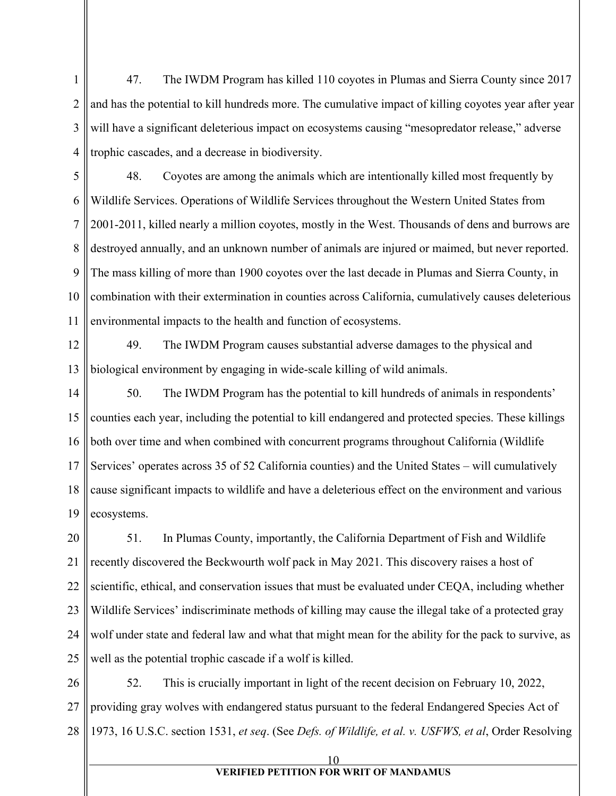1 2 3 4 47. The IWDM Program has killed 110 coyotes in Plumas and Sierra County since 2017 and has the potential to kill hundreds more. The cumulative impact of killing coyotes year after year will have a significant deleterious impact on ecosystems causing "mesopredator release," adverse trophic cascades, and a decrease in biodiversity.

5 6 7 8 9 10 11 48. Coyotes are among the animals which are intentionally killed most frequently by Wildlife Services. Operations of Wildlife Services throughout the Western United States from 2001-2011, killed nearly a million coyotes, mostly in the West. Thousands of dens and burrows are destroyed annually, and an unknown number of animals are injured or maimed, but never reported. The mass killing of more than 1900 coyotes over the last decade in Plumas and Sierra County, in combination with their extermination in counties across California, cumulatively causes deleterious environmental impacts to the health and function of ecosystems.

12 13 49. The IWDM Program causes substantial adverse damages to the physical and biological environment by engaging in wide-scale killing of wild animals.

14 15 16 17 18 19 50. The IWDM Program has the potential to kill hundreds of animals in respondents' counties each year, including the potential to kill endangered and protected species. These killings both over time and when combined with concurrent programs throughout California (Wildlife Services' operates across 35 of 52 California counties) and the United States – will cumulatively cause significant impacts to wildlife and have a deleterious effect on the environment and various ecosystems.

20 21 22 23 24 25 51. In Plumas County, importantly, the California Department of Fish and Wildlife recently discovered the Beckwourth wolf pack in May 2021. This discovery raises a host of scientific, ethical, and conservation issues that must be evaluated under CEQA, including whether Wildlife Services' indiscriminate methods of killing may cause the illegal take of a protected gray wolf under state and federal law and what that might mean for the ability for the pack to survive, as well as the potential trophic cascade if a wolf is killed.

26 27 28 52. This is crucially important in light of the recent decision on February 10, 2022, providing gray wolves with endangered status pursuant to the federal Endangered Species Act of 1973, 16 U.S.C. section 1531, *et seq*. (See *Defs. of Wildlife, et al. v. USFWS, et al*, Order Resolving

10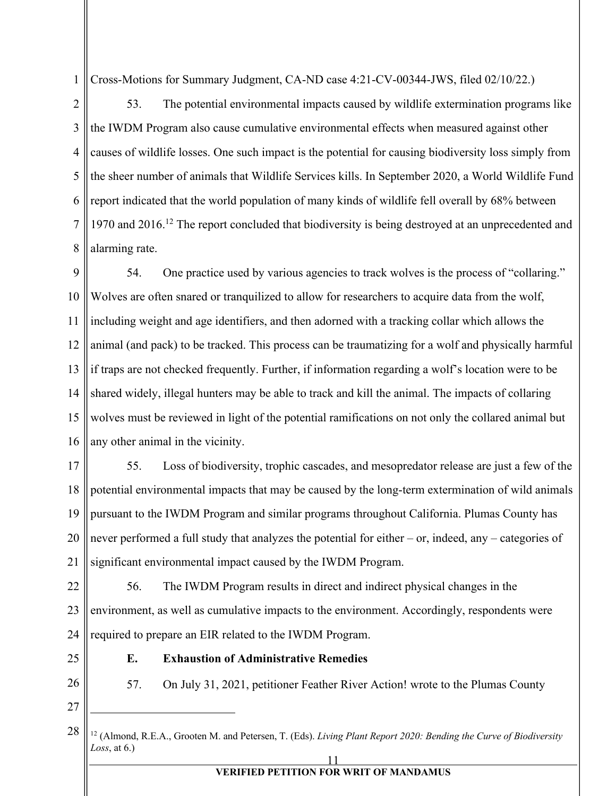1 Cross-Motions for Summary Judgment, CA-ND case 4:21-CV-00344-JWS, filed 02/10/22.)

2 3 4 5 6 7 8 53. The potential environmental impacts caused by wildlife extermination programs like the IWDM Program also cause cumulative environmental effects when measured against other causes of wildlife losses. One such impact is the potential for causing biodiversity loss simply from the sheer number of animals that Wildlife Services kills. In September 2020, a World Wildlife Fund report indicated that the world population of many kinds of wildlife fell overall by 68% between 1970 and 2016.<sup>12</sup> The report concluded that biodiversity is being destroyed at an unprecedented and alarming rate.

9 10 11 12 13 14 15 16 54. One practice used by various agencies to track wolves is the process of "collaring." Wolves are often snared or tranquilized to allow for researchers to acquire data from the wolf, including weight and age identifiers, and then adorned with a tracking collar which allows the animal (and pack) to be tracked. This process can be traumatizing for a wolf and physically harmful if traps are not checked frequently. Further, if information regarding a wolf's location were to be shared widely, illegal hunters may be able to track and kill the animal. The impacts of collaring wolves must be reviewed in light of the potential ramifications on not only the collared animal but any other animal in the vicinity.

17

18 19 20 21 55. Loss of biodiversity, trophic cascades, and mesopredator release are just a few of the potential environmental impacts that may be caused by the long-term extermination of wild animals pursuant to the IWDM Program and similar programs throughout California. Plumas County has never performed a full study that analyzes the potential for either – or, indeed, any – categories of significant environmental impact caused by the IWDM Program.

22 23 24 56. The IWDM Program results in direct and indirect physical changes in the environment, as well as cumulative impacts to the environment. Accordingly, respondents were required to prepare an EIR related to the IWDM Program.

**E. Exhaustion of Administrative Remedies**

25

26

57. On July 31, 2021, petitioner Feather River Action! wrote to the Plumas County

<sup>11</sup> 28 <sup>12</sup> (Almond, R.E.A., Grooten M. and Petersen, T. (Eds). *Living Plant Report 2020: Bending the Curve of Biodiversity Loss*, at 6.)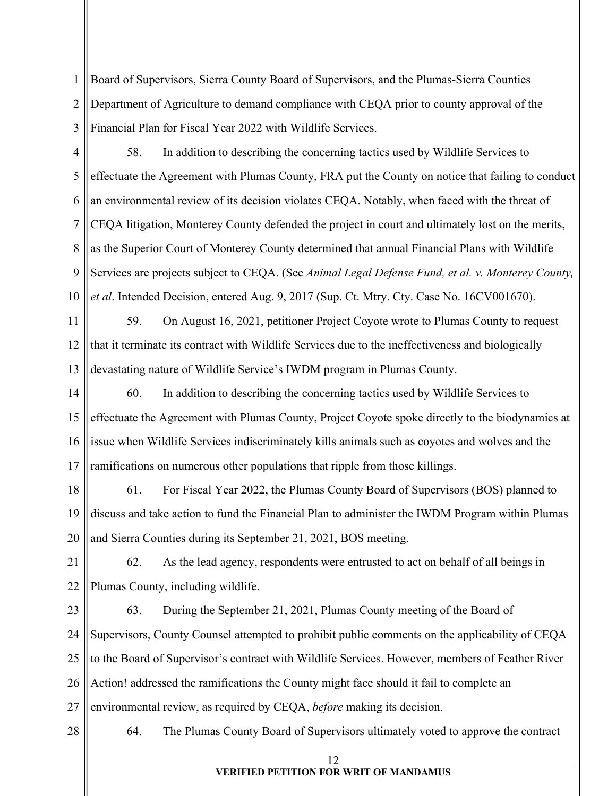1 2 3 Board of Supervisors, Sierra County Board of Supervisors, and the Plumas-Sierra Counties Department of Agriculture to demand compliance with CEQA prior to county approval of the Financial Plan for Fiscal Year 2022 with Wildlife Services.

4 5 6 7 8 9 10 58. In addition to describing the concerning tactics used by Wildlife Services to effectuate the Agreement with Plumas County, FRA put the County on notice that failing to conduct an environmental review of its decision violates CEQA. Notably, when faced with the threat of CEQA litigation, Monterey County defended the project in court and ultimately lost on the merits, as the Superior Court of Monterey County determined that annual Financial Plans with Wildlife Services are projects subject to CEQA. (See *Animal Legal Defense Fund, et al. v. Monterey County, et al*. Intended Decision, entered Aug. 9, 2017 (Sup. Ct. Mtry. Cty. Case No. 16CV001670).

11 12 13 59. On August 16, 2021, petitioner Project Coyote wrote to Plumas County to request that it terminate its contract with Wildlife Services due to the ineffectiveness and biologically devastating nature of Wildlife Service's IWDM program in Plumas County.

14 15 16 17 60. In addition to describing the concerning tactics used by Wildlife Services to effectuate the Agreement with Plumas County, Project Coyote spoke directly to the biodynamics at issue when Wildlife Services indiscriminately kills animals such as coyotes and wolves and the ramifications on numerous other populations that ripple from those killings.

18 19 20 61. For Fiscal Year 2022, the Plumas County Board of Supervisors (BOS) planned to discuss and take action to fund the Financial Plan to administer the IWDM Program within Plumas and Sierra Counties during its September 21, 2021, BOS meeting.

21 22 62. As the lead agency, respondents were entrusted to act on behalf of all beings in Plumas County, including wildlife.

23 24 25 26 27 63. During the September 21, 2021, Plumas County meeting of the Board of Supervisors, County Counsel attempted to prohibit public comments on the applicability of CEQA to the Board of Supervisor's contract with Wildlife Services. However, members of Feather River Action! addressed the ramifications the County might face should it fail to complete an environmental review, as required by CEQA, *before* making its decision.

28

64. The Plumas County Board of Supervisors ultimately voted to approve the contract

12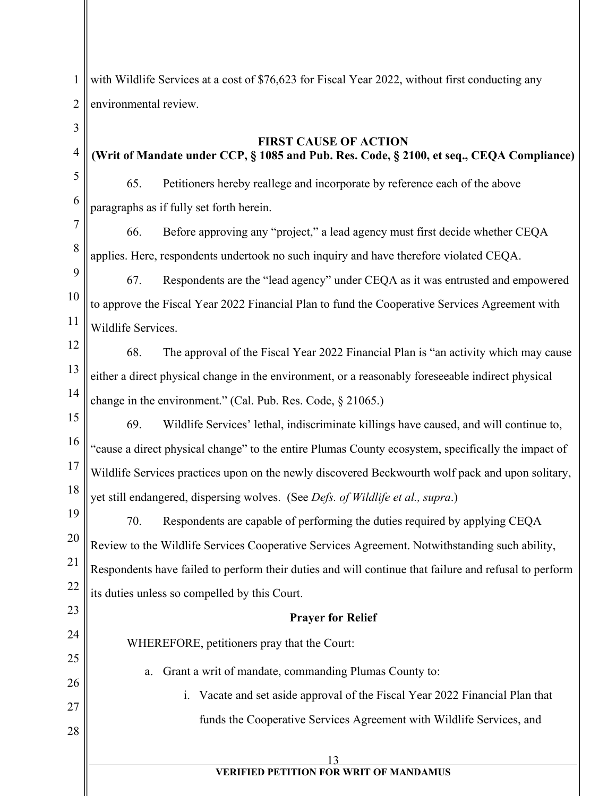1 2 with Wildlife Services at a cost of \$76,623 for Fiscal Year 2022, without first conducting any environmental review.

- 3
- 4 5

6

**FIRST CAUSE OF ACTION (Writ of Mandate under CCP, § 1085 and Pub. Res. Code, § 2100, et seq., CEQA Compliance)**

65. Petitioners hereby reallege and incorporate by reference each of the above paragraphs as if fully set forth herein.

7 8 66. Before approving any "project," a lead agency must first decide whether CEQA applies. Here, respondents undertook no such inquiry and have therefore violated CEQA.

9 10 11 67. Respondents are the "lead agency" under CEQA as it was entrusted and empowered to approve the Fiscal Year 2022 Financial Plan to fund the Cooperative Services Agreement with Wildlife Services.

12

13 14 68. The approval of the Fiscal Year 2022 Financial Plan is "an activity which may cause either a direct physical change in the environment, or a reasonably foreseeable indirect physical change in the environment." (Cal. Pub. Res. Code, § 21065.)

15 16 17 18 69. Wildlife Services' lethal, indiscriminate killings have caused, and will continue to, "cause a direct physical change" to the entire Plumas County ecosystem, specifically the impact of Wildlife Services practices upon on the newly discovered Beckwourth wolf pack and upon solitary, yet still endangered, dispersing wolves. (See *Defs. of Wildlife et al., supra*.)

19 20 21 22 70. Respondents are capable of performing the duties required by applying CEQA Review to the Wildlife Services Cooperative Services Agreement. Notwithstanding such ability, Respondents have failed to perform their duties and will continue that failure and refusal to perform its duties unless so compelled by this Court.

## **Prayer for Relief**

WHEREFORE, petitioners pray that the Court:

25 26

23

24

27

28

i. Vacate and set aside approval of the Fiscal Year 2022 Financial Plan that funds the Cooperative Services Agreement with Wildlife Services, and

a. Grant a writ of mandate, commanding Plumas County to: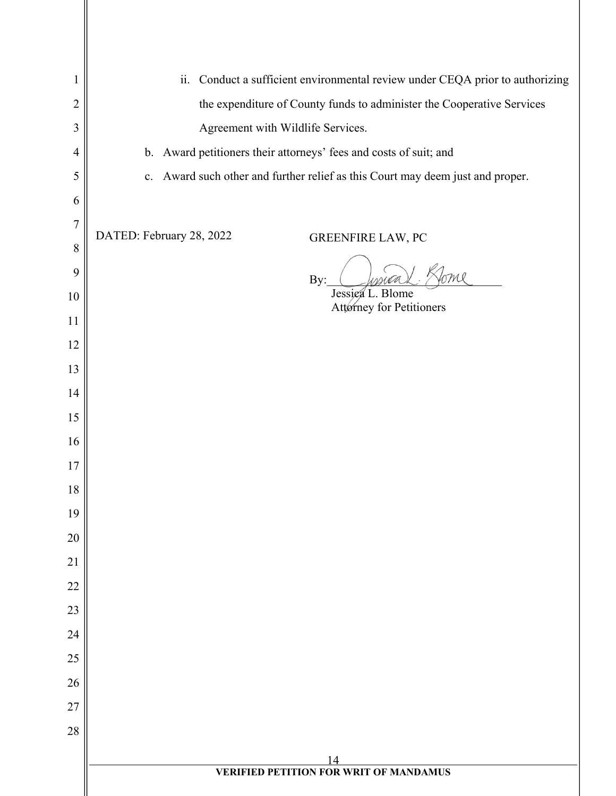| 1              | ii. Conduct a sufficient environmental review under CEQA prior to authorizing  |  |
|----------------|--------------------------------------------------------------------------------|--|
| $\overline{2}$ | the expenditure of County funds to administer the Cooperative Services         |  |
| 3              | Agreement with Wildlife Services.                                              |  |
| $\overline{4}$ | b. Award petitioners their attorneys' fees and costs of suit; and              |  |
| 5              | c. Award such other and further relief as this Court may deem just and proper. |  |
| 6              |                                                                                |  |
| $\overline{7}$ | DATED: February 28, 2022<br>GREENFIRE LAW, PC                                  |  |
| 8              |                                                                                |  |
| 9              | By:                                                                            |  |
| 10             | Jessica L. Blome<br>Attorney for Petitioners                                   |  |
| 11             |                                                                                |  |
| 12             |                                                                                |  |
| 13             |                                                                                |  |
| 14             |                                                                                |  |
| 15<br>16       |                                                                                |  |
| 17             |                                                                                |  |
| 18             |                                                                                |  |
| 19             |                                                                                |  |
| 20             |                                                                                |  |
| 21             |                                                                                |  |
| 22             |                                                                                |  |
| 23             |                                                                                |  |
| 24             |                                                                                |  |
| 25             |                                                                                |  |
| 26             |                                                                                |  |
| 27             |                                                                                |  |
| 28             |                                                                                |  |
|                | 14                                                                             |  |
|                | <b>VERIFIED PETITION FOR WRIT OF MANDAMUS</b>                                  |  |